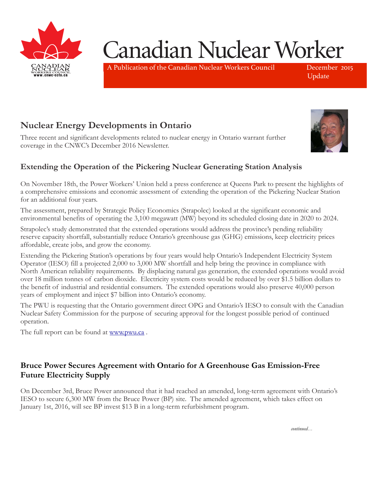

# Canadian Nuclear Worker

A Publication of the Canadian Nuclear Workers Council December 2015

Update

# **Nuclear Energy Developments in Ontario**

Three recent and significant developments related to nuclear energy in Ontario warrant further coverage in the CNWC's December 2016 Newsletter. I hree recent and significant developments related to nu



#### Extending the Operation of the Pickering Nuclear Generating Station Analysis in sinin  $t = \frac{1}{2}$  $\sigma$  and  $\sigma$

On November 18th, the Power Workers' Union held a press conference at Queens Park to present the highlights of a comprehensive emissions and economic assessment of extending the operation of the Pickering Nuclear Station for an additional four years. a comprenensive emissions and economic assessment of extending the operation of the Pickering Nuclear Station UII INOVEHIDEI TOUL, LIE POWEI WOIKEIS UTHOII HEIG a

The assessment, prepared by Strategic Policy Economics (Strapolec) looked at the significant economic and environmental benefits of operating the 3,100 megawatt (MW) beyond its scheduled closing date in 2020 to 2024.

Strapolec's study demonstrated that the extended operations would address the province's pending reliability reserve capacity shortfall, substantially reduce Ontario's greenhouse gas (GHG) emissions, keep electricity prices affordable, create jobs, and grow the economy. premier was corrected with the party seems where the party several years of the party several years of the to infrastructure and strong computer and strong community support. onomy.

Extending the Pickering Station's operations by four years would help Ontario's Independent Electricity System Operator (IESO) fill a projected 2,000 to 3,000 MW shortfall and help bring the province in compliance with North American reliability requirements. By displacing natural gas generation, the extended operations would avoid over 18 million tonnes of carbon dioxide. Electricity system costs would be reduced by over \$1.5 billion dollars to the benefit of industrial and residential consumers. The extended operations would also preserve 40,000 person years of employment and inject \$7 billion into Ontario's economy.  $\frac{1}{1}$  uninhabitative due to  $\frac{1}{1}$  in  $\frac{1}{1}$  $\sigma$  displaced by floods or drought, except will be developed. generation de la définition de la définition de la définition de la décide de la définition de la définition d<br>Des définitions de la décide de la décide de la décide de la décide de la décide de la décide de la décide de

The PWU is requesting that the Ontario government direct OPG and Ontario's IESO to consult with the Canadian Nuclear Safety Commission for the purpose of securing approval for the longest possible period of continued operation. b government direct OPG and Ontario's IESO to consult with the Canadia  $\Phi$ 

The full report can be found at www.pwu.ca.

### Bruce Power Secures Agreement with Ontario for A Greenhouse Gas Emission-Free Future Electricity Supply Latter concernery supply

On December 3rd, Bruce Power announced that it had reached an amended, long-term agreement with Ontario's IESO to secure 6,300 MW from the Bruce Power (BP) site. The amended agreement, which takes effect on January 1st, 2016, will see BP invest \$13 B in a long-term refurbishment program.  $s$ summent $p$ ro $S$ imin On December 5rd, bruce Por *continued on page 2…*

*continued…*